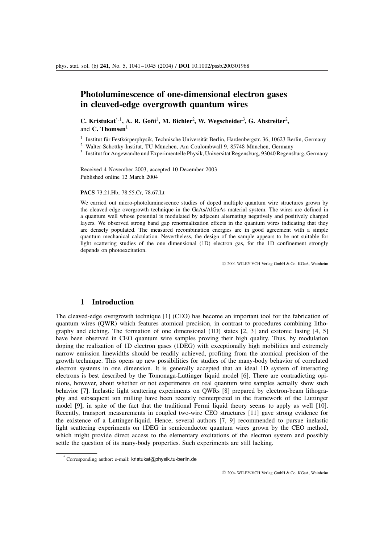## Photoluminescence of one-dimensional electron gases in cleaved-edge overgrowth quantum wires

C. Kristukat<sup>\*, 1</sup>, A. R. Goñi<sup>1</sup>, M. Bichler<sup>2</sup>, W. Wegscheider<sup>3</sup>, G. Abstreiter<sup>2</sup>, and  $C$ . Thomsen $1$ 

 $1$  Institut für Festkörperphysik, Technische Universität Berlin, Hardenbergstr. 36, 10623 Berlin, Germany

<sup>2</sup> Walter-Schottky-Institut, TU München, Am Coulombwall 9, 85748 München, Germany

 $3$  Institut für Angewandte und Experimentelle Physik, Universität Regensburg, 93040 Regensburg, Germany

Received 4 November 2003, accepted 10 December 2003 Published online 12 March 2004

## PACS 73.21.Hb, 78.55.Cr, 78.67.Lt

We carried out micro-photoluminescence studies of doped multiple quantum wire structures grown by the cleaved-edge overgrowth technique in the GaAs/AlGaAs material system. The wires are defined in a quantum well whose potential is modulated by adjacent alternating negatively and positively charged layers. We observed strong band gap renormalization effects in the quantum wires indicating that they are densely populated. The measured recombination energies are in good agreement with a simple quantum mechanical calculation. Nevertheless, the design of the sample appears to be not suitable for light scattering studies of the one dimensional (1D) electron gas, for the 1D confinement strongly depends on photoexcitation.

 $©$  2004 WILEY-VCH Verlag GmbH & Co. KGaA, Weinheim

## 1 Introduction

The cleaved-edge overgrowth technique [1] (CEO) has become an important tool for the fabrication of quantum wires (QWR) which features atomical precision, in contrast to procedures combining lithography and etching. The formation of one dimensional  $(1D)$  states  $[2, 3]$  and exitonic lasing  $[4, 5]$ have been observed in CEO quantum wire samples proving their high quality. Thus, by modulation doping the realization of 1D electron gases (1DEG) with exceptionally high mobilities and extremely narrow emission linewidths should be readily achieved, profiting from the atomical precision of the growth technique. This opens up new possibilities for studies of the many-body behavior of correlated electron systems in one dimension. It is generally accepted that an ideal 1D system of interacting electrons is best described by the Tomonaga-Luttinger liquid model [6]. There are contradicting opinions, however, about whether or not experiments on real quantum wire samples actually show such behavior [7]. Inelastic light scattering experiments on QWRs [8] prepared by electron-beam lithography and subsequent ion milling have been recently reinterpreted in the framework of the Luttinger model [9], in spite of the fact that the traditional Fermi liquid theory seems to apply as well [10]. Recently, transport measurements in coupled two-wire CEO structures [11] gave strong evidence for the existence of a Luttinger-liquid. Hence, several authors [7, 9] recommended to pursue inelastic light scattering experiments on 1DEG in semiconductor quantum wires grown by the CEO method, which might provide direct access to the elementary excitations of the electron system and possibly settle the question of its many-body properties. Such experiments are still lacking.

 $O$  2004 WILEY-VCH Verlag GmbH & Co. KGaA, Weinheim

Corresponding author: e-mail: kristukat@physik.tu-berlin.de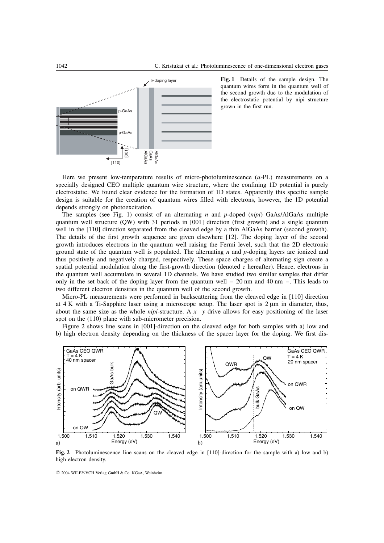

Fig. 1 Details of the sample design. The quantum wires form in the quantum well of the second growth due to the modulation of the electrostatic potential by nipi structure grown in the first run.

Here we present low-temperature results of micro-photoluminescence  $(u-PL)$  measurements on a specially designed CEO multiple quantum wire structure, where the confining 1D potential is purely electrostatic. We found clear evidence for the formation of 1D states. Apparently this specific sample design is suitable for the creation of quantum wires filled with electrons, however, the 1D potential depends strongly on photoexcitation.

The samples (see Fig. 1) consist of an alternating n and p-doped (nipi) GaAs/AlGaAs multiple quantum well structure (QW) with 31 periods in [001] direction (first growth) and a single quantum well in the [110] direction separated from the cleaved edge by a thin AlGaAs barrier (second growth). The details of the first growth sequence are given elsewhere [12]. The doping layer of the second growth introduces electrons in the quantum well raising the Fermi level, such that the 2D electronic ground state of the quantum well is populated. The alternating  $n$  and  $p$ -doping layers are ionized and thus positively and negatively charged, respectively. These space charges of alternating sign create a spatial potential modulation along the first-growth direction (denoted  $\zeta$  hereafter). Hence, electrons in the quantum well accumulate in several 1D channels. We have studied two similar samples that differ only in the set back of the doping layer from the quantum well  $-20$  nm and 40 nm  $-$ . This leads to two different electron densities in the quantum well of the second growth.

Micro-PL measurements were performed in backscattering from the cleaved edge in [110] direction at  $4 K$  with a Ti-Sapphire laser using a microscope setup. The laser spot is  $2 \mu m$  in diameter, thus, about the same size as the whole *nipi*-structure. A  $x - y$  drive allows for easy positioning of the laser spot on the (110) plane with sub-micrometer precision.

Figure 2 shows line scans in [001]-direction on the cleaved edge for both samples with a) low and b) high electron density depending on the thickness of the spacer layer for the doping. We first dis-



Fig. 2 Photoluminescence line scans on the cleaved edge in [110]-direction for the sample with a) low and b) high electron density.

 $O$  2004 WILEY-VCH Verlag GmbH & Co. KGaA, Weinheim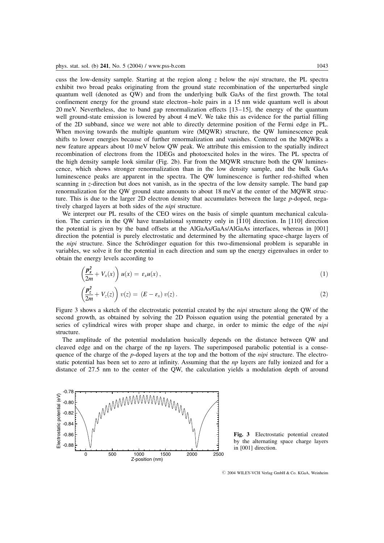cuss the low-density sample. Starting at the region along z below the *nipi* structure, the PL spectra exhibit two broad peaks originating from the ground state recombination of the unperturbed single quantum well (denoted as QW) and from the underlying bulk GaAs of the first growth. The total confinement energy for the ground state electron–hole pairs in a 15 nm wide quantum well is about 20 meV. Nevertheless, due to band gap renormalization effects [13–15], the energy of the quantum well ground-state emission is lowered by about 4 meV. We take this as evidence for the partial filling of the 2D subband, since we were not able to directly determine position of the Fermi edge in PL. When moving towards the multiple quantum wire (MOWR) structure, the OW luminescence peak shifts to lower energies because of further renormalization and vanishes. Centered on the MQWRs a new feature appears about 10 meV below QW peak. We attribute this emission to the spatially indirect recombination of electrons from the 1DEGs and photoexcited holes in the wires. The PL spectra of the high density sample look similar (Fig. 2b). Far from the MQWR structure both the QW luminescence, which shows stronger renormalization than in the low density sample, and the bulk GaAs luminescence peaks are apparent in the spectra. The QW luminescence is further red-shifted when scanning in z-direction but does not vanish, as in the spectra of the low density sample. The band gap renormalization for the QW ground state amounts to about 18 meV at the center of the MQWR structure. This is due to the larger 2D electron density that accumulates between the large p-doped, negatively charged layers at both sides of the nipi structure.

We interpret our PL results of the CEO wires on the basis of simple quantum mechanical calculation. The carriers in the QW have translational symmetry only in  $\overline{110}$  direction. In  $\overline{110}$  direction the potential is given by the band offsets at the AlGaAs/GaAs/AlGaAs interfaces, whereas in [001] direction the potential is purely electrostatic and determined by the alternating space-charge layers of the *nipi* structure. Since the Schrödinger equation for this two-dimensional problem is separable in variables, we solve it for the potential in each direction and sum up the energy eigenvalues in order to obtain the energy levels according to

$$
\left(\frac{\boldsymbol{p}_x^2}{2m} + V_x(x)\right)u(x) = \varepsilon_x u(x) , \qquad (1)
$$

$$
\left(\frac{\boldsymbol{p}_z^2}{2m} + V_z(z)\right) v(z) = (E - \varepsilon_x) v(z).
$$
\n(2)

Figure 3 shows a sketch of the electrostatic potential created by the *nipi* structure along the QW of the second growth, as obtained by solving the 2D Poisson equation using the potential generated by a series of cylindrical wires with proper shape and charge, in order to mimic the edge of the *nipi* structure.

The amplitude of the potential modulation basically depends on the distance between QW and cleaved edge and on the charge of the np layers. The superimposed parabolic potential is a consequence of the charge of the p-doped layers at the top and the bottom of the *nipi* structure. The electrostatic potential has been set to zero at infinity. Assuming that the *np* layers are fully ionized and for a distance of 27.5 nm to the center of the QW, the calculation yields a modulation depth of around



Fig. 3 Electrostatic potential created by the alternating space charge layers in [001] direction.

 $\odot$  2004 WILEY-VCH Verlag GmbH & Co. KGaA, Weinheim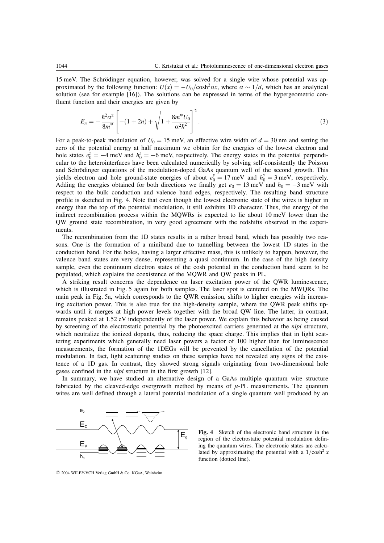15 meV. The Schrödinger equation, however, was solved for a single wire whose potential was approximated by the following function:  $U(x) = -U_0/\cosh^2 \alpha x$ , where  $\alpha \sim 1/d$ , which has an analytical solution (see for example [16]). The solutions can be expressed in terms of the hypergeometric confluent function and their energies are given by

$$
E_n = -\frac{\hbar^2 \alpha^2}{8m^*} \left[ -(1+2n) + \sqrt{1 + \frac{8m^* U_0}{\alpha^2 \hbar^2}} \right]^2.
$$
 (3)

For a peak-to-peak modulation of  $U_0 = 15$  meV, an effective wire width of  $d = 30$  nm and setting the zero of the potential energy at half maximum we obtain for the energies of the lowest electron and hole states  $e_0^z = -4$  meV and  $h_0^z = -6$  meV, respectively. The energy states in the potential perpendicular to the heterointerfaces have been calculated numerically by solving self-consistently the Poisson and Schrödinger equations of the modulation-doped GaAs quantum well of the second growth. This yields electron and hole ground-state energies of about  $e_0^y = 17$  meV and  $h_0^y = 3$  meV, respectively. Adding the energies obtained for both directions we finally get  $e_0 = 13$  meV and  $h_0 = -3$  meV with respect to the bulk conduction and valence band edges, respectively. The resulting band structure profile is sketched in Fig. 4. Note that even though the lowest electronic state of the wires is higher in energy than the top of the potential modulation, it still exhibits 1D character. Thus, the energy of the indirect recombination process within the MQWRs is expected to lie about 10 meV lower than the QW ground state recombination, in very good agreement with the redshifts observed in the experiments.

The recombination from the 1D states results in a rather broad band, which has possibly two reasons. One is the formation of a miniband due to tunnelling between the lowest 1D states in the conduction band. For the holes, having a larger effective mass, this is unlikely to happen, however, the valence band states are very dense, representing a quasi continuum. In the case of the high density sample, even the continuum electron states of the cosh potential in the conduction band seem to be populated, which explains the coexistence of the MQWR and QW peaks in PL.

A striking result concerns the dependence on laser excitation power of the QWR luminescence, which is illustrated in Fig. 5 again for both samples. The laser spot is centered on the MWQRs. The main peak in Fig. 5a, which corresponds to the QWR emission, shifts to higher energies with increasing excitation power. This is also true for the high-density sample, where the QWR peak shifts upwards until it merges at high power levels together with the broad QW line. The latter, in contrast, remains peaked at 1.52 eV independently of the laser power. We explain this behavior as being caused by screening of the electrostatic potential by the photoexcited carriers generated at the *nipi* structure, which neutralize the ionized dopants, thus, reducing the space charge. This implies that in light scattering experiments which generally need laser powers a factor of 100 higher than for luminescence measurements, the formation of the 1DEGs will be prevented by the cancellation of the potential modulation. In fact, light scattering studies on these samples have not revealed any signs of the existence of a 1D gas. In contrast, they showed strong signals originating from two-dimensional hole gases confined in the nipi structure in the first growth [12].

In summary, we have studied an alternative design of a GaAs multiple quantum wire structure fabricated by the cleaved-edge overgrowth method by means of  $\mu$ -PL measurements. The quantum wires are well defined through a lateral potential modulation of a single quantum well produced by an



Fig. 4 Sketch of the electronic band structure in the region of the electrostatic potential modulation defining the quantum wires. The electronic states are calculated by approximating the potential with a  $1/\cosh^2 x$ function (dotted line).